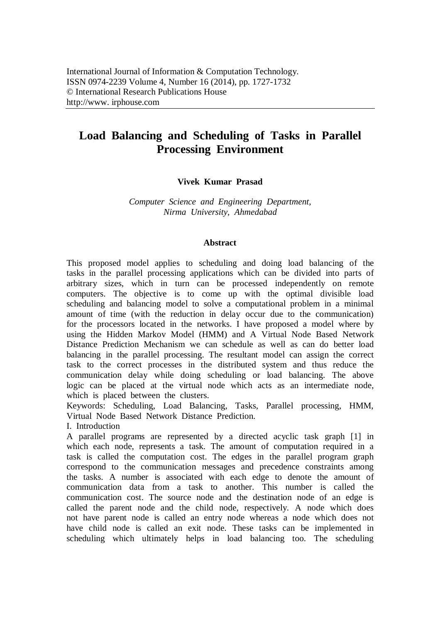# **Load Balancing and Scheduling of Tasks in Parallel Processing Environment**

# **Vivek Kumar Prasad**

*Computer Science and Engineering Department, Nirma University, Ahmedabad*

#### **Abstract**

This proposed model applies to scheduling and doing load balancing of the tasks in the parallel processing applications which can be divided into parts of arbitrary sizes, which in turn can be processed independently on remote computers. The objective is to come up with the optimal divisible load scheduling and balancing model to solve a computational problem in a minimal amount of time (with the reduction in delay occur due to the communication) for the processors located in the networks. I have proposed a model where by using the Hidden Markov Model (HMM) and A Virtual Node Based Network Distance Prediction Mechanism we can schedule as well as can do better load balancing in the parallel processing. The resultant model can assign the correct task to the correct processes in the distributed system and thus reduce the communication delay while doing scheduling or load balancing. The above logic can be placed at the virtual node which acts as an intermediate node, which is placed between the clusters.

Keywords: Scheduling, Load Balancing, Tasks, Parallel processing, HMM, Virtual Node Based Network Distance Prediction.

I. Introduction

A parallel programs are represented by a directed acyclic task graph [1] in which each node, represents a task. The amount of computation required in a task is called the computation cost. The edges in the parallel program graph correspond to the communication messages and precedence constraints among the tasks. A number is associated with each edge to denote the amount of communication data from a task to another. This number is called the communication cost. The source node and the destination node of an edge is called the parent node and the child node, respectively. A node which does not have parent node is called an entry node whereas a node which does not have child node is called an exit node. These tasks can be implemented in scheduling which ultimately helps in load balancing too. The scheduling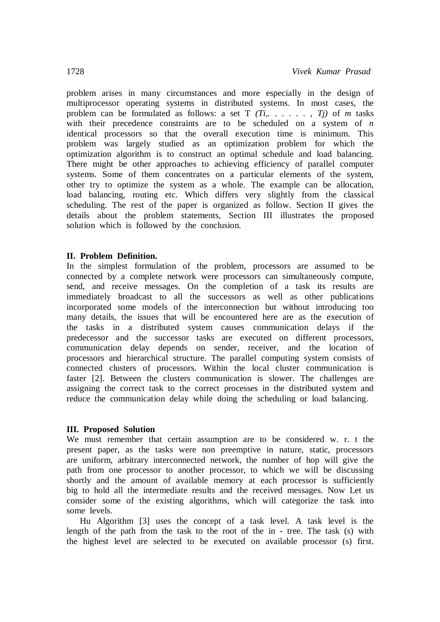problem arises in many circumstances and more especially in the design of multiprocessor operating systems in distributed systems. In most cases, the problem can be formulated as follows: a set  $T(T_i, \ldots, T_j)$  of *m* tasks with their precedence constraints are to be scheduled on a system of *n* identical processors so that the overall execution time is minimum. This problem was largely studied as an optimization problem for which the optimization algorithm is to construct an optimal schedule and load balancing. There might be other approaches to achieving efficiency of parallel computer systems. Some of them concentrates on a particular elements of the system, other try to optimize the system as a whole. The example can be allocation, load balancing, routing etc. Which differs very slightly from the classical scheduling. The rest of the paper is organized as follow. Section II gives the details about the problem statements, Section III illustrates the proposed solution which is followed by the conclusion.

## **II. Problem Definition.**

In the simplest formulation of the problem, processors are assumed to be connected by a complete network were processors can simultaneously compute, send, and receive messages. On the completion of a task its results are immediately broadcast to all the successors as well as other publications incorporated some models of the interconnection but without introducing too many details, the issues that will be encountered here are as the execution of the tasks in a distributed system causes communication delays if the predecessor and the successor tasks are executed on different processors, communication delay depends on sender, receiver, and the location of processors and hierarchical structure. The parallel computing system consists of connected clusters of processors. Within the local cluster communication is faster [2]. Between the clusters communication is slower. The challenges are assigning the correct task to the correct processes in the distributed system and reduce the communication delay while doing the scheduling or load balancing.

# **III. Proposed Solution**

We must remember that certain assumption are to be considered w. r. t the present paper, as the tasks were non preemptive in nature, static, processors are uniform, arbitrary interconnected network, the number of hop will give the path from one processor to another processor, to which we will be discussing shortly and the amount of available memory at each processor is sufficiently big to hold all the intermediate results and the received messages. Now Let us consider some of the existing algorithms, which will categorize the task into some levels.

Hu Algorithm [3] uses the concept of a task level. A task level is the length of the path from the task to the root of the in - tree. The task (s) with the highest level are selected to be executed on available processor (s) first.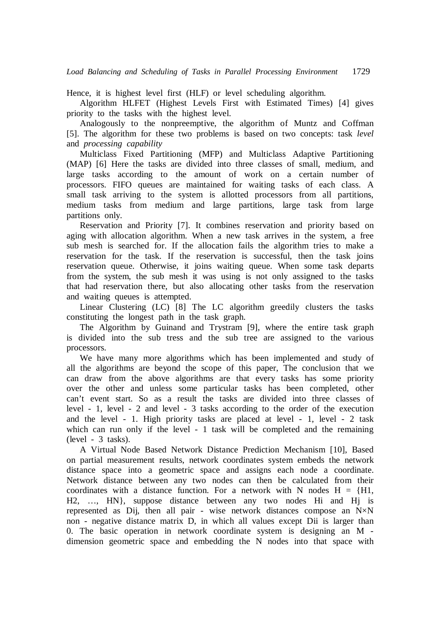Hence, it is highest level first(HLF) or level scheduling algorithm.

Algorithm HLFET (Highest Levels First with Estimated Times) [4] gives priority to the tasks with the highest level.

Analogously to the nonpreemptive, the algorithm of Muntz and Coffman [5]. The algorithm for these two problems is based on two concepts: task *level*  and *processing capability*

Multiclass Fixed Partitioning (MFP) and Multiclass Adaptive Partitioning (MAP) [6] Here the tasks are divided into three classes of small, medium, and large tasks according to the amount of work on a certain number of processors. FIFO queues are maintained for waiting tasks of each class. A small task arriving to the system is allotted processors from all partitions, medium tasks from medium and large partitions, large task from large partitions only.

Reservation and Priority [7]. It combines reservation and priority based on aging with allocation algorithm. When a new task arrives in the system, a free sub mesh is searched for. If the allocation fails the algorithm tries to make a reservation for the task. If the reservation is successful, then the task joins reservation queue. Otherwise, it joins waiting queue. When some task departs from the system, the sub mesh it was using is not only assigned to the tasks that had reservation there, but also allocating other tasks from the reservation and waiting queues is attempted.

Linear Clustering (LC) [8] The LC algorithm greedily clusters the tasks constituting the longest path in the task graph.

The Algorithm by Guinand and Trystram [9], where the entire task graph is divided into the sub tress and the sub tree are assigned to the various processors.

We have many more algorithms which has been implemented and study of all the algorithms are beyond the scope of this paper, The conclusion that we can draw from the above algorithms are that every tasks has some priority over the other and unless some particular tasks has been completed, other can't event start. So as a result the tasks are divided into three classes of level - 1, level - 2 and level - 3 tasks according to the order of the execution and the level - 1. High priority tasks are placed at level - 1, level - 2 task which can run only if the level - 1 task will be completed and the remaining (level - 3 tasks).

A Virtual Node Based Network Distance Prediction Mechanism [10], Based on partial measurement results, network coordinates system embeds the network distance space into a geometric space and assigns each node a coordinate. Network distance between any two nodes can then be calculated from their coordinates with a distance function. For a network with N nodes  $H = \{H1, H2, H3\}$ H2, …, HN}, suppose distance between any two nodes Hi and Hj is represented as Dij, then all pair - wise network distances compose an N×N non - negative distance matrix D, in which all values except Dii is larger than 0. The basic operation in network coordinate system is designing an M dimension geometric space and embedding the N nodes into that space with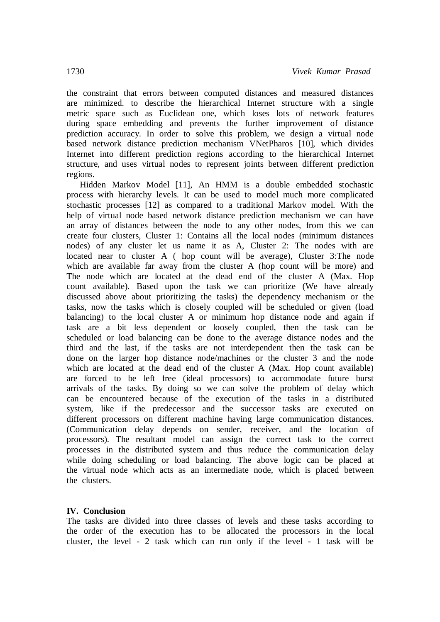the constraint that errors between computed distances and measured distances are minimized. to describe the hierarchical Internet structure with a single metric space such as Euclidean one, which loses lots of network features during space embedding and prevents the further improvement of distance prediction accuracy. In order to solve this problem, we design a virtual node based network distance prediction mechanism VNetPharos [10], which divides Internet into different prediction regions according to the hierarchical Internet structure, and uses virtual nodes to represent joints between different prediction regions.

Hidden Markov Model [11], An HMM is a double embedded stochastic process with hierarchy levels. It can be used to model much more complicated stochastic processes [12] as compared to a traditional Markov model. With the help of virtual node based network distance prediction mechanism we can have an array of distances between the node to any other nodes, from this we can create four clusters, Cluster 1: Contains all the local nodes (minimum distances nodes) of any cluster let us name it as A, Cluster 2: The nodes with are located near to cluster A ( hop count will be average), Cluster 3:The node which are available far away from the cluster A (hop count will be more) and The node which are located at the dead end of the cluster A (Max. Hop count available). Based upon the task we can prioritize (We have already discussed above about prioritizing the tasks) the dependency mechanism or the tasks, now the tasks which is closely coupled will be scheduled or given (load balancing) to the local cluster A or minimum hop distance node and again if task are a bit less dependent or loosely coupled, then the task can be scheduled or load balancing can be done to the average distance nodes and the third and the last, if the tasks are not interdependent then the task can be done on the larger hop distance node/machines or the cluster 3 and the node which are located at the dead end of the cluster A (Max. Hop count available) areforced to be left free (ideal processors) to accommodate future burst arrivals of the tasks. By doing so we can solve the problem of delay which can be encountered because of the execution of the tasks in a distributed system, like if the predecessor and the successor tasks are executed on different processors on different machine having large communication distances. (Communication delay depends on sender, receiver, and the location of processors). The resultant model can assign the correct task to the correct processes in the distributed system and thus reduce the communication delay while doing scheduling or load balancing. The above logic can be placed at the virtual node which acts as an intermediate node, which is placed between the clusters.

#### **IV. Conclusion**

The tasks are divided into three classes of levels and these tasks according to the order of the execution has to be allocated the processors in the local cluster, the level - 2 task which can run only if the level - 1 task will be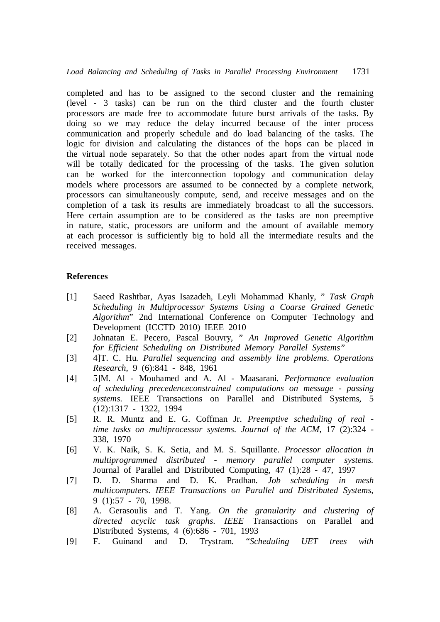completed and has to be assigned to the second cluster and the remaining (level - 3 tasks) can be run on the third cluster and the fourth cluster processors are made free to accommodate future burst arrivals of the tasks. By doing so we may reduce the delay incurred because of the inter process communication and properly schedule and do load balancing of the tasks. The logic for division and calculating the distances of the hops can be placed in the virtual node separately. So that the other nodes apart from the virtual node will be totally dedicated for the processing of the tasks. The given solution can be worked for the interconnection topology and communication delay models where processors are assumed to be connected by a complete network, processors can simultaneously compute, send, and receive messages and on the completion of a task its results are immediately broadcast to all the successors. Here certain assumption are to be considered as the tasks are non preemptive in nature, static, processors are uniform and the amount of available memory at each processor is sufficiently big to hold all the intermediate results and the received messages.

## **References**

- [1] Saeed Rashtbar, Ayas Isazadeh, Leyli Mohammad Khanly, " *Task Graph Scheduling in Multiprocessor Systems Using a Coarse Grained Genetic Algorithm*" 2nd International Conference on Computer Technology and Development (ICCTD 2010) IEEE 2010
- [2] Johnatan E. Pecero, Pascal Bouvry, " *An Improved Genetic Algorithm for Efficient Scheduling on Distributed Memory Parallel Systems"*
- [3] 4]T. C. Hu*. Parallel sequencing and assembly line problems*. *Operations Research*, 9 (6):841 - 848, 1961
- [4] 5]M. Al Mouhamed and A. Al Maasarani. *Performance evaluation of scheduling precedenceconstrained computations on message - passing systems*. IEEE Transactions on Parallel and Distributed Systems, 5 (12):1317 - 1322, 1994
- [5] R. R. Muntz and E. G. Coffman Jr. *Preemptive scheduling of real time tasks on multiprocessor systems*. *Journal of the ACM*, 17 (2):324 - 338, 1970
- [6] V. K. Naik, S. K. Setia, and M. S. Squillante. *Processor allocation in multiprogrammed distributed - memory parallel computer systems.*  Journal of Parallel and Distributed Computing, 47 (1):28 - 47, 1997
- [7] D. D. Sharma and D. K. Pradhan. *Job scheduling in mesh multicomputers*. *IEEE Transactions on Parallel and Distributed Systems*, 9 (1):57 - 70, 1998.
- [8] A. Gerasoulis and T. Yang. *On the granularity and clustering of directed acyclic task graphs*. *IEEE* Transactions on Parallel and Distributed Systems, 4 (6):686 - 701, 1993
- [9] F. Guinand and D. Trystram. "*Scheduling UET trees with*